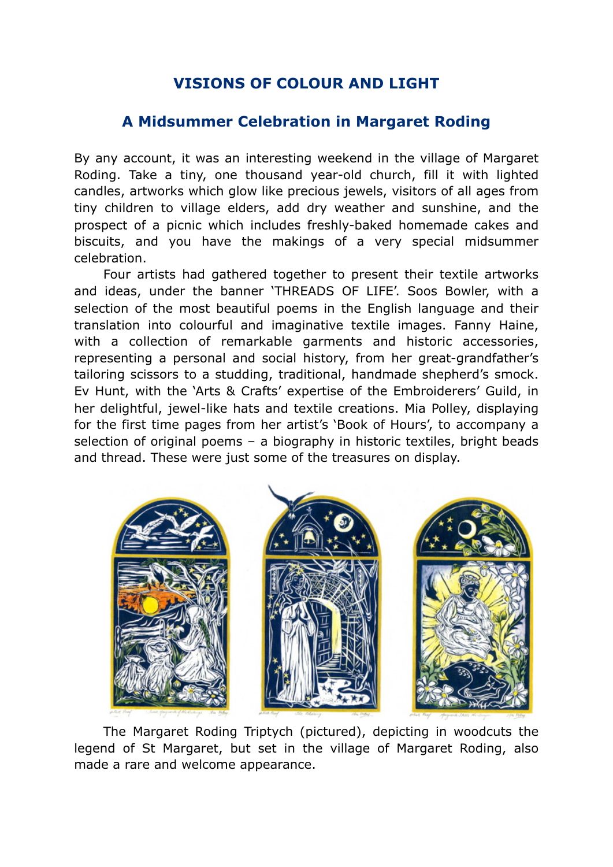## **VISIONS OF COLOUR AND LIGHT**

## **A Midsummer Celebration in Margaret Roding**

By any account, it was an interesting weekend in the village of Margaret Roding. Take a tiny, one thousand year-old church, fill it with lighted candles, artworks which glow like precious jewels, visitors of all ages from tiny children to village elders, add dry weather and sunshine, and the prospect of a picnic which includes freshly-baked homemade cakes and biscuits, and you have the makings of a very special midsummer celebration.

Four artists had gathered together to present their textile artworks and ideas, under the banner 'THREADS OF LIFE'. Soos Bowler, with a selection of the most beautiful poems in the English language and their translation into colourful and imaginative textile images. Fanny Haine, with a collection of remarkable garments and historic accessories, representing a personal and social history, from her great-grandfather's tailoring scissors to a studding, traditional, handmade shepherd's smock. Ev Hunt, with the 'Arts & Crafts' expertise of the Embroiderers' Guild, in her delightful, jewel-like hats and textile creations. Mia Polley, displaying for the first time pages from her artist's 'Book of Hours', to accompany a selection of original poems – a biography in historic textiles, bright beads and thread. These were just some of the treasures on display.



The Margaret Roding Triptych (pictured), depicting in woodcuts the legend of St Margaret, but set in the village of Margaret Roding, also made a rare and welcome appearance.